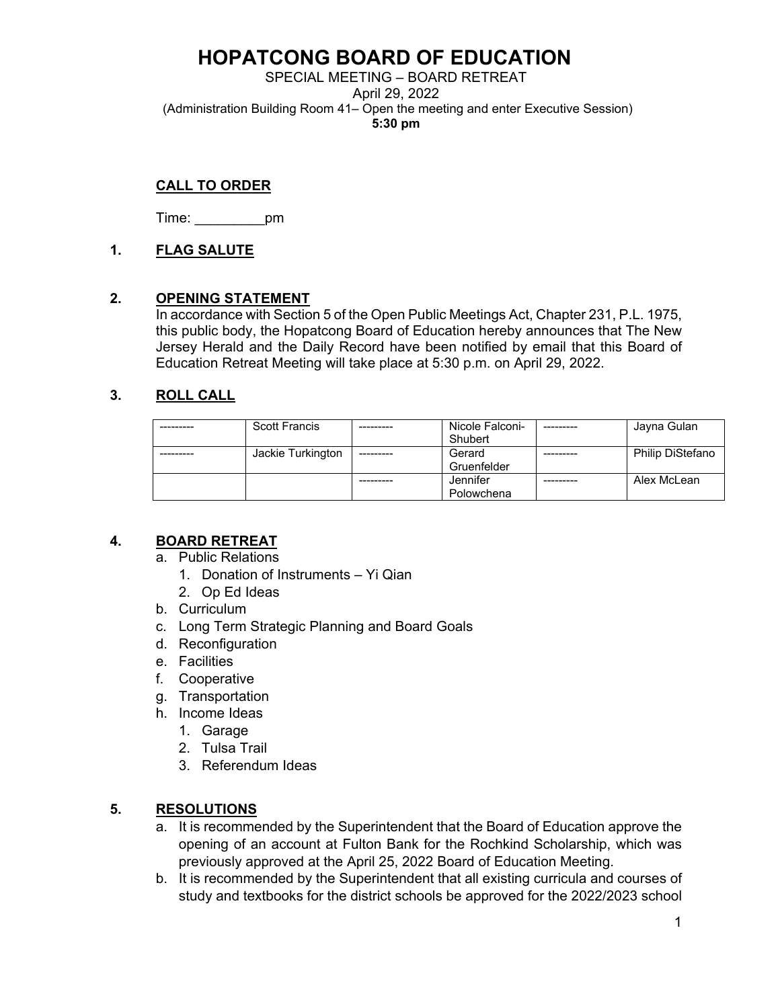# **HOPATCONG BOARD OF EDUCATION**

SPECIAL MEETING – BOARD RETREAT

April 29, 2022

(Administration Building Room 41– Open the meeting and enter Executive Session)

**5:30 pm**

# **CALL TO ORDER**

Time: \_\_\_\_\_\_\_\_\_pm

## **1. FLAG SALUTE**

### **2. OPENING STATEMENT**

In accordance with Section 5 of the Open Public Meetings Act, Chapter 231, P.L. 1975, this public body, the Hopatcong Board of Education hereby announces that The New Jersey Herald and the Daily Record have been notified by email that this Board of Education Retreat Meeting will take place at 5:30 p.m. on April 29, 2022.

# **3. ROLL CALL**

| <b>Scott Francis</b> | Nicole Falconi- | Jayna Gulan             |
|----------------------|-----------------|-------------------------|
|                      | Shubert         |                         |
| Jackie Turkington    | Gerard          | <b>Philip DiStefano</b> |
|                      | Gruenfelder     |                         |
|                      | Jennifer        | Alex McLean             |
|                      | Polowchena      |                         |

# **4. BOARD RETREAT**

- a. Public Relations
	- 1. Donation of Instruments Yi Qian
	- 2. Op Ed Ideas
- b. Curriculum
- c. Long Term Strategic Planning and Board Goals
- d. Reconfiguration
- e. Facilities
- f. Cooperative
- g. Transportation
- h. Income Ideas
	- 1. Garage
	- 2. Tulsa Trail
	- 3. Referendum Ideas

### **5. RESOLUTIONS**

- a. It is recommended by the Superintendent that the Board of Education approve the opening of an account at Fulton Bank for the Rochkind Scholarship, which was previously approved at the April 25, 2022 Board of Education Meeting.
- b. It is recommended by the Superintendent that all existing curricula and courses of study and textbooks for the district schools be approved for the 2022/2023 school